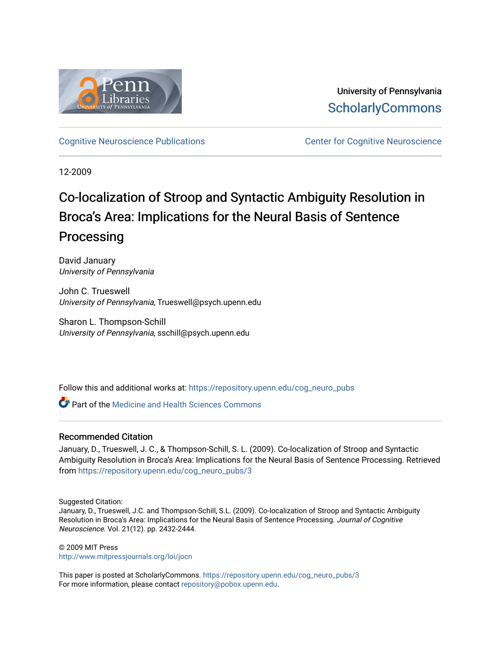

University of Pennsylvania **ScholarlyCommons** 

[Cognitive Neuroscience Publications](https://repository.upenn.edu/cog_neuro_pubs) **CENTE:** Center for Cognitive Neuroscience

12-2009

# Co-localization of Stroop and Syntactic Ambiguity Resolution in Broca's Area: Implications for the Neural Basis of Sentence Processing

David January University of Pennsylvania

John C. Trueswell University of Pennsylvania, Trueswell@psych.upenn.edu

Sharon L. Thompson-Schill University of Pennsylvania, sschill@psych.upenn.edu

Follow this and additional works at: [https://repository.upenn.edu/cog\\_neuro\\_pubs](https://repository.upenn.edu/cog_neuro_pubs?utm_source=repository.upenn.edu%2Fcog_neuro_pubs%2F3&utm_medium=PDF&utm_campaign=PDFCoverPages)

**C** Part of the Medicine and Health Sciences Commons

# Recommended Citation

January, D., Trueswell, J. C., & Thompson-Schill, S. L. (2009). Co-localization of Stroop and Syntactic Ambiguity Resolution in Broca's Area: Implications for the Neural Basis of Sentence Processing. Retrieved from [https://repository.upenn.edu/cog\\_neuro\\_pubs/3](https://repository.upenn.edu/cog_neuro_pubs/3?utm_source=repository.upenn.edu%2Fcog_neuro_pubs%2F3&utm_medium=PDF&utm_campaign=PDFCoverPages) 

Suggested Citation:

January, D., Trueswell, J.C. and Thompson-Schill, S.L. (2009). Co-localization of Stroop and Syntactic Ambiguity Resolution in Broca's Area: Implications for the Neural Basis of Sentence Processing. Journal of Cognitive Neuroscience. Vol. 21(12). pp. 2432-2444.

© 2009 MIT Press <http://www.mitpressjournals.org/loi/jocn>

This paper is posted at ScholarlyCommons. [https://repository.upenn.edu/cog\\_neuro\\_pubs/3](https://repository.upenn.edu/cog_neuro_pubs/3) For more information, please contact [repository@pobox.upenn.edu.](mailto:repository@pobox.upenn.edu)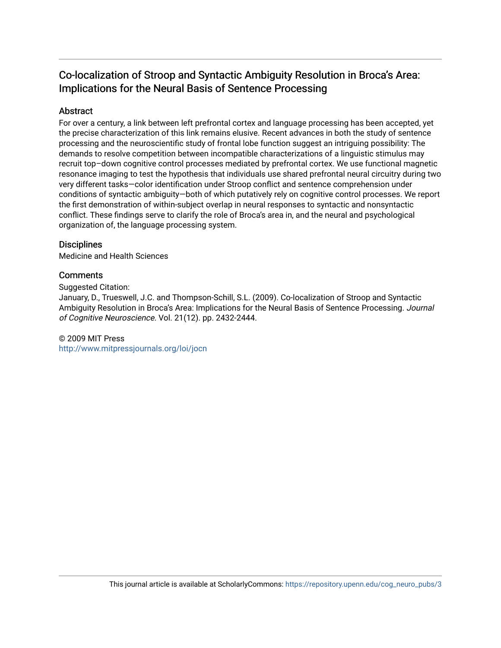# Co-localization of Stroop and Syntactic Ambiguity Resolution in Broca's Area: Implications for the Neural Basis of Sentence Processing

# Abstract

For over a century, a link between left prefrontal cortex and language processing has been accepted, yet the precise characterization of this link remains elusive. Recent advances in both the study of sentence processing and the neuroscientific study of frontal lobe function suggest an intriguing possibility: The demands to resolve competition between incompatible characterizations of a linguistic stimulus may recruit top–down cognitive control processes mediated by prefrontal cortex. We use functional magnetic resonance imaging to test the hypothesis that individuals use shared prefrontal neural circuitry during two very different tasks—color identification under Stroop conflict and sentence comprehension under conditions of syntactic ambiguity—both of which putatively rely on cognitive control processes. We report the first demonstration of within-subject overlap in neural responses to syntactic and nonsyntactic conflict. These findings serve to clarify the role of Broca's area in, and the neural and psychological organization of, the language processing system.

# **Disciplines**

Medicine and Health Sciences

# **Comments**

Suggested Citation:

January, D., Trueswell, J.C. and Thompson-Schill, S.L. (2009). Co-localization of Stroop and Syntactic Ambiguity Resolution in Broca's Area: Implications for the Neural Basis of Sentence Processing. Journal of Cognitive Neuroscience. Vol. 21(12). pp. 2432-2444.

# © 2009 MIT Press

<http://www.mitpressjournals.org/loi/jocn>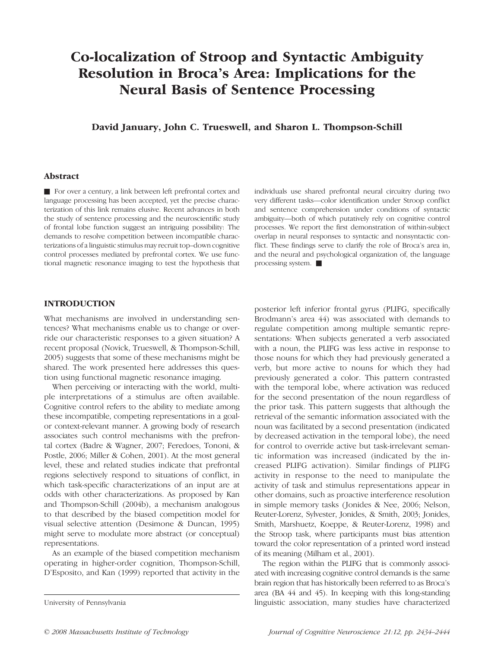# Co-localization of Stroop and Syntactic Ambiguity Resolution in Broca's Area: Implications for the Neural Basis of Sentence Processing

David January, John C. Trueswell, and Sharon L. Thompson-Schill

## Abstract

 $\blacksquare$  For over a century, a link between left prefrontal cortex and language processing has been accepted, yet the precise characterization of this link remains elusive. Recent advances in both the study of sentence processing and the neuroscientific study of frontal lobe function suggest an intriguing possibility: The demands to resolve competition between incompatible characterizations of a linguistic stimulus may recruit top–down cognitive control processes mediated by prefrontal cortex. We use functional magnetic resonance imaging to test the hypothesis that individuals use shared prefrontal neural circuitry during two very different tasks—color identification under Stroop conflict and sentence comprehension under conditions of syntactic ambiguity—both of which putatively rely on cognitive control processes. We report the first demonstration of within-subject overlap in neural responses to syntactic and nonsyntactic conflict. These findings serve to clarify the role of Broca's area in, and the neural and psychological organization of, the language processing system.  $\blacksquare$ 

# INTRODUCTION

What mechanisms are involved in understanding sentences? What mechanisms enable us to change or override our characteristic responses to a given situation? A recent proposal (Novick, Trueswell, & Thompson-Schill, 2005) suggests that some of these mechanisms might be shared. The work presented here addresses this question using functional magnetic resonance imaging.

When perceiving or interacting with the world, multiple interpretations of a stimulus are often available. Cognitive control refers to the ability to mediate among these incompatible, competing representations in a goalor context-relevant manner. A growing body of research associates such control mechanisms with the prefrontal cortex (Badre & Wagner, 2007; Feredoes, Tononi, & Postle, 2006; Miller & Cohen, 2001). At the most general level, these and related studies indicate that prefrontal regions selectively respond to situations of conflict, in which task-specific characterizations of an input are at odds with other characterizations. As proposed by Kan and Thompson-Schill (2004b), a mechanism analogous to that described by the biased competition model for visual selective attention (Desimone & Duncan, 1995) might serve to modulate more abstract (or conceptual) representations.

As an example of the biased competition mechanism operating in higher-order cognition, Thompson-Schill, D'Esposito, and Kan (1999) reported that activity in the

posterior left inferior frontal gyrus (PLIFG, specifically Brodmann's area 44) was associated with demands to regulate competition among multiple semantic representations: When subjects generated a verb associated with a noun, the PLIFG was less active in response to those nouns for which they had previously generated a verb, but more active to nouns for which they had previously generated a color. This pattern contrasted with the temporal lobe, where activation was reduced for the second presentation of the noun regardless of the prior task. This pattern suggests that although the retrieval of the semantic information associated with the noun was facilitated by a second presentation (indicated by decreased activation in the temporal lobe), the need for control to override active but task-irrelevant semantic information was increased (indicated by the increased PLIFG activation). Similar findings of PLIFG activity in response to the need to manipulate the activity of task and stimulus representations appear in other domains, such as proactive interference resolution in simple memory tasks (Jonides & Nee, 2006; Nelson, Reuter-Lorenz, Sylvester, Jonides, & Smith, 2003; Jonides, Smith, Marshuetz, Koeppe, & Reuter-Lorenz, 1998) and the Stroop task, where participants must bias attention toward the color representation of a printed word instead of its meaning (Milham et al., 2001).

The region within the PLIFG that is commonly associated with increasing cognitive control demands is the same brain region that has historically been referred to as Broca's area (BA 44 and 45). In keeping with this long-standing University of Pennsylvania linguistic association, many studies have characterized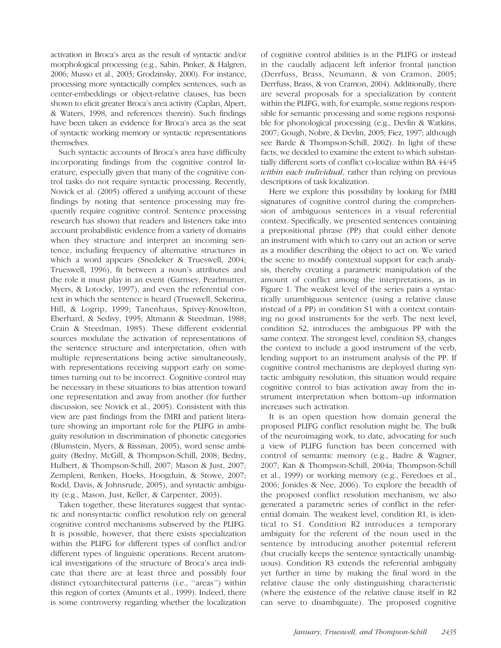activation in Broca's area as the result of syntactic and/or morphological processing (e.g., Sahin, Pinker, & Halgren, 2006; Musso et al., 2003; Grodzinsky, 2000). For instance, processing more syntactically complex sentences, such as center-embeddings or object-relative clauses, has been shown to elicit greater Broca's area activity (Caplan, Alpert, & Waters, 1998, and references therein). Such findings have been taken as evidence for Broca's area as the seat of syntactic working memory or syntactic representations themselves.

Such syntactic accounts of Broca's area have difficulty incorporating findings from the cognitive control literature, especially given that many of the cognitive control tasks do not require syntactic processing. Recently, Novick et al. (2005) offered a unifying account of these findings by noting that sentence processing may frequently require cognitive control. Sentence processing research has shown that readers and listeners take into account probabilistic evidence from a variety of domains when they structure and interpret an incoming sentence, including frequency of alternative structures in which a word appears (Snedeker & Trueswell, 2004; Trueswell, 1996), fit between a noun's attributes and the role it must play in an event (Garnsey, Pearlmutter, Myers, & Lotocky, 1997), and even the referential context in which the sentence is heard (Trueswell, Sekerina, Hill, & Logrip, 1999; Tanenhaus, Spivey-Knowlton, Eberhard, & Sedivy, 1995; Altmann & Steedman, 1988; Crain & Steedman, 1985). These different evidential sources modulate the activation of representations of the sentence structure and interpretation, often with multiple representations being active simultaneously, with representations receiving support early on sometimes turning out to be incorrect. Cognitive control may be necessary in these situations to bias attention toward one representation and away from another (for further discussion, see Novick et al., 2005). Consistent with this view are past findings from the fMRI and patient literature showing an important role for the PLIFG in ambiguity resolution in discrimination of phonetic categories (Blumstein, Myers, & Rissman, 2005), word sense ambiguity (Bedny, McGill, & Thompson-Schill, 2008; Bedny, Hulbert, & Thompson-Schill, 2007; Mason & Just, 2007; Zempleni, Renken, Hoeks, Hoogduin, & Stowe, 2007; Rodd, Davis, & Johnsrude, 2005), and syntactic ambiguity (e.g., Mason, Just, Keller, & Carpenter, 2003).

Taken together, these literatures suggest that syntactic and nonsyntactic conflict resolution rely on general cognitive control mechanisms subserved by the PLIFG. It is possible, however, that there exists specialization within the PLIFG for different types of conflict and/or different types of linguistic operations. Recent anatomical investigations of the structure of Broca's area indicate that there are at least three and possibly four distinct cytoarchitectural patterns (i.e., ''areas'') within this region of cortex (Amunts et al., 1999). Indeed, there is some controversy regarding whether the localization

of cognitive control abilities is in the PLIFG or instead in the caudally adjacent left inferior frontal junction (Derrfuss, Brass, Neumann, & von Cramon, 2005; Derrfuss, Brass, & von Cramon, 2004). Additionally, there are several proposals for a specialization by content within the PLIFG, with, for example, some regions responsible for semantic processing and some regions responsible for phonological processing (e.g., Devlin & Watkins, 2007; Gough, Nobre, & Devlin, 2005; Fiez, 1997; although see Barde & Thompson-Schill, 2002). In light of these facts, we decided to examine the extent to which substantially different sorts of conflict co-localize within BA 44/45 within each individual, rather than relying on previous descriptions of task localization.

Here we explore this possibility by looking for fMRI signatures of cognitive control during the comprehension of ambiguous sentences in a visual referential context. Specifically, we presented sentences containing a prepositional phrase (PP) that could either denote an instrument with which to carry out an action or serve as a modifier describing the object to act on. We varied the scene to modify contextual support for each analysis, thereby creating a parametric manipulation of the amount of conflict among the interpretations, as in Figure 1. The weakest level of the series pairs a syntactically unambiguous sentence (using a relative clause instead of a PP) in condition S1 with a context containing no good instruments for the verb. The next level, condition S2, introduces the ambiguous PP with the same context. The strongest level, condition S3, changes the context to include a good instrument of the verb, lending support to an instrument analysis of the PP. If cognitive control mechanisms are deployed during syntactic ambiguity resolution, this situation would require cognitive control to bias activation away from the instrument interpretation when bottom–up information increases such activation.

It is an open question how domain general the proposed PLIFG conflict resolution might be. The bulk of the neuroimaging work, to date, advocating for such a view of PLIFG function has been concerned with control of semantic memory (e.g., Badre & Wagner, 2007; Kan & Thompson-Schill, 2004a; Thompson-Schill et al., 1999) or working memory (e.g., Feredoes et al., 2006; Jonides & Nee, 2006). To explore the breadth of the proposed conflict resolution mechanism, we also generated a parametric series of conflict in the referential domain. The weakest level, condition R1, is identical to S1. Condition R2 introduces a temporary ambiguity for the referent of the noun used in the sentence by introducing another potential referent (but crucially keeps the sentence syntactically unambiguous). Condition R3 extends the referential ambiguity yet further in time by making the final word in the relative clause the only distinguishing characteristic (where the existence of the relative clause itself in R2 can serve to disambiguate). The proposed cognitive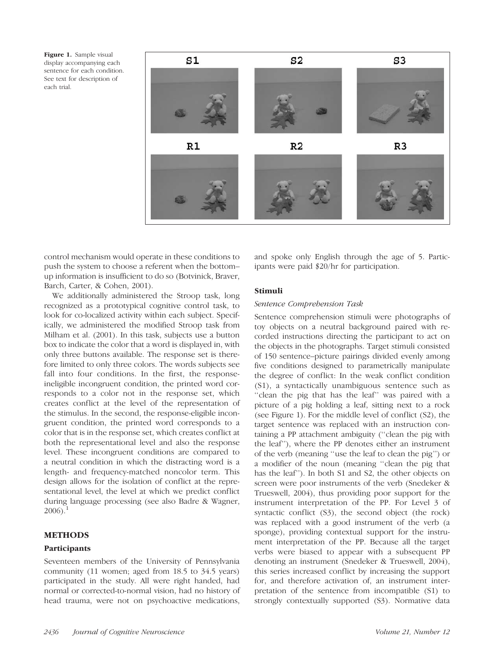Figure 1. Sample visual display accompanying each sentence for each condition. See text for description of each trial.



control mechanism would operate in these conditions to push the system to choose a referent when the bottom– up information is insufficient to do so (Botvinick, Braver, Barch, Carter, & Cohen, 2001).

We additionally administered the Stroop task, long recognized as a prototypical cognitive control task, to look for co-localized activity within each subject. Specifically, we administered the modified Stroop task from Milham et al. (2001). In this task, subjects use a button box to indicate the color that a word is displayed in, with only three buttons available. The response set is therefore limited to only three colors. The words subjects see fall into four conditions. In the first, the responseineligible incongruent condition, the printed word corresponds to a color not in the response set, which creates conflict at the level of the representation of the stimulus. In the second, the response-eligible incongruent condition, the printed word corresponds to a color that is in the response set, which creates conflict at both the representational level and also the response level. These incongruent conditions are compared to a neutral condition in which the distracting word is a length- and frequency-matched noncolor term. This design allows for the isolation of conflict at the representational level, the level at which we predict conflict during language processing (see also Badre & Wagner,  $2006$ ).<sup>1</sup>

# METHODS

# **Participants**

Seventeen members of the University of Pennsylvania community (11 women; aged from 18.5 to 34.5 years) participated in the study. All were right handed, had normal or corrected-to-normal vision, had no history of head trauma, were not on psychoactive medications, and spoke only English through the age of 5. Participants were paid \$20/hr for participation.

# Stimuli

# Sentence Comprehension Task

Sentence comprehension stimuli were photographs of toy objects on a neutral background paired with recorded instructions directing the participant to act on the objects in the photographs. Target stimuli consisted of 150 sentence–picture pairings divided evenly among five conditions designed to parametrically manipulate the degree of conflict: In the weak conflict condition (S1), a syntactically unambiguous sentence such as "clean the pig that has the leaf" was paired with a picture of a pig holding a leaf, sitting next to a rock (see Figure 1). For the middle level of conflict (S2), the target sentence was replaced with an instruction containing a PP attachment ambiguity (''clean the pig with the leaf''), where the PP denotes either an instrument of the verb (meaning ''use the leaf to clean the pig'') or a modifier of the noun (meaning ''clean the pig that has the leaf''). In both S1 and S2, the other objects on screen were poor instruments of the verb (Snedeker & Trueswell, 2004), thus providing poor support for the instrument interpretation of the PP. For Level 3 of syntactic conflict (S3), the second object (the rock) was replaced with a good instrument of the verb (a sponge), providing contextual support for the instrument interpretation of the PP. Because all the target verbs were biased to appear with a subsequent PP denoting an instrument (Snedeker & Trueswell, 2004), this series increased conflict by increasing the support for, and therefore activation of, an instrument interpretation of the sentence from incompatible (S1) to strongly contextually supported (S3). Normative data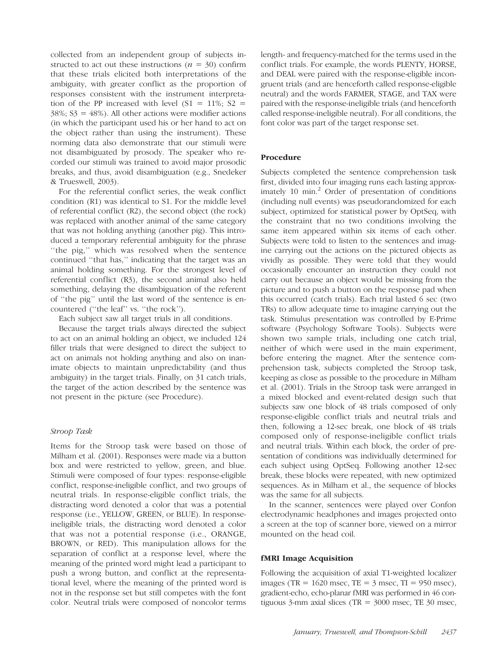collected from an independent group of subjects instructed to act out these instructions ( $n = 30$ ) confirm that these trials elicited both interpretations of the ambiguity, with greater conflict as the proportion of responses consistent with the instrument interpretation of the PP increased with level  $(S1 = 11\%; S2 =$  $38\%$ ;  $S3 = 48\%$ ). All other actions were modifier actions (in which the participant used his or her hand to act on the object rather than using the instrument). These norming data also demonstrate that our stimuli were not disambiguated by prosody. The speaker who recorded our stimuli was trained to avoid major prosodic breaks, and thus, avoid disambiguation (e.g., Snedeker & Trueswell, 2003).

For the referential conflict series, the weak conflict condition (R1) was identical to S1. For the middle level of referential conflict (R2), the second object (the rock) was replaced with another animal of the same category that was not holding anything (another pig). This introduced a temporary referential ambiguity for the phrase ''the pig,'' which was resolved when the sentence continued ''that has,'' indicating that the target was an animal holding something. For the strongest level of referential conflict (R3), the second animal also held something, delaying the disambiguation of the referent of ''the pig'' until the last word of the sentence is encountered (''the leaf'' vs. ''the rock'').

Each subject saw all target trials in all conditions.

Because the target trials always directed the subject to act on an animal holding an object, we included 124 filler trials that were designed to direct the subject to act on animals not holding anything and also on inanimate objects to maintain unpredictability (and thus ambiguity) in the target trials. Finally, on 31 catch trials, the target of the action described by the sentence was not present in the picture (see Procedure).

#### Stroop Task

Items for the Stroop task were based on those of Milham et al. (2001). Responses were made via a button box and were restricted to yellow, green, and blue. Stimuli were composed of four types: response-eligible conflict, response-ineligible conflict, and two groups of neutral trials. In response-eligible conflict trials, the distracting word denoted a color that was a potential response (i.e., YELLOW, GREEN, or BLUE). In responseineligible trials, the distracting word denoted a color that was not a potential response (i.e., ORANGE, BROWN, or RED). This manipulation allows for the separation of conflict at a response level, where the meaning of the printed word might lead a participant to push a wrong button, and conflict at the representational level, where the meaning of the printed word is not in the response set but still competes with the font color. Neutral trials were composed of noncolor terms

length- and frequency-matched for the terms used in the conflict trials. For example, the words PLENTY, HORSE, and DEAL were paired with the response-eligible incongruent trials (and are henceforth called response-eligible neutral) and the words FARMER, STAGE, and TAX were paired with the response-ineligible trials (and henceforth called response-ineligible neutral). For all conditions, the font color was part of the target response set.

#### Procedure

Subjects completed the sentence comprehension task first, divided into four imaging runs each lasting approximately 10 min. $^{2}$  Order of presentation of conditions (including null events) was pseudorandomized for each subject, optimized for statistical power by OptSeq, with the constraint that no two conditions involving the same item appeared within six items of each other. Subjects were told to listen to the sentences and imagine carrying out the actions on the pictured objects as vividly as possible. They were told that they would occasionally encounter an instruction they could not carry out because an object would be missing from the picture and to push a button on the response pad when this occurred (catch trials). Each trial lasted 6 sec (two TRs) to allow adequate time to imagine carrying out the task. Stimulus presentation was controlled by E-Prime software (Psychology Software Tools). Subjects were shown two sample trials, including one catch trial, neither of which were used in the main experiment, before entering the magnet. After the sentence comprehension task, subjects completed the Stroop task, keeping as close as possible to the procedure in Milham et al. (2001). Trials in the Stroop task were arranged in a mixed blocked and event-related design such that subjects saw one block of 48 trials composed of only response-eligible conflict trials and neutral trials and then, following a 12-sec break, one block of 48 trials composed only of response-ineligible conflict trials and neutral trials. Within each block, the order of presentation of conditions was individually determined for each subject using OptSeq. Following another 12-sec break, these blocks were repeated, with new optimized sequences. As in Milham et al., the sequence of blocks was the same for all subjects.

In the scanner, sentences were played over Confon electrodynamic headphones and images projected onto a screen at the top of scanner bore, viewed on a mirror mounted on the head coil.

#### fMRI Image Acquisition

Following the acquisition of axial T1-weighted localizer images (TR =  $1620$  msec, TE =  $3$  msec, TI =  $950$  msec), gradient-echo, echo-planar fMRI was performed in 46 contiguous 3-mm axial slices (TR =  $3000$  msec, TE 30 msec,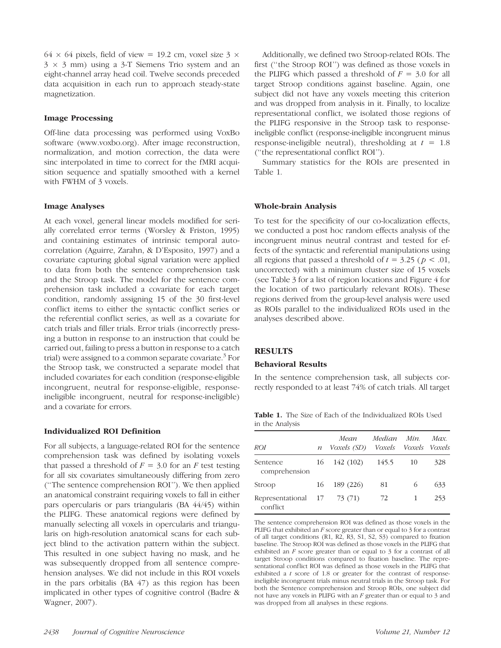64  $\times$  64 pixels, field of view = 19.2 cm, voxel size 3  $\times$  $3 \times 3$  mm) using a 3-T Siemens Trio system and an eight-channel array head coil. Twelve seconds preceded data acquisition in each run to approach steady-state magnetization.

#### Image Processing

Off-line data processing was performed using VoxBo software (www.voxbo.org). After image reconstruction, normalization, and motion correction, the data were sinc interpolated in time to correct for the fMRI acquisition sequence and spatially smoothed with a kernel with FWHM of 3 voxels.

#### Image Analyses

At each voxel, general linear models modified for serially correlated error terms (Worsley & Friston, 1995) and containing estimates of intrinsic temporal autocorrelation (Aguirre, Zarahn, & D'Esposito, 1997) and a covariate capturing global signal variation were applied to data from both the sentence comprehension task and the Stroop task. The model for the sentence comprehension task included a covariate for each target condition, randomly assigning 15 of the 30 first-level conflict items to either the syntactic conflict series or the referential conflict series, as well as a covariate for catch trials and filler trials. Error trials (incorrectly pressing a button in response to an instruction that could be carried out, failing to press a button in response to a catch trial) were assigned to a common separate covariate.<sup>5</sup> For the Stroop task, we constructed a separate model that included covariates for each condition (response-eligible incongruent, neutral for response-eligible, responseineligible incongruent, neutral for response-ineligible) and a covariate for errors.

## Individualized ROI Definition

For all subjects, a language-related ROI for the sentence comprehension task was defined by isolating voxels that passed a threshold of  $F = 3.0$  for an F test testing for all six covariates simultaneously differing from zero (''The sentence comprehension ROI''). We then applied an anatomical constraint requiring voxels to fall in either pars opercularis or pars triangularis (BA 44/45) within the PLIFG. These anatomical regions were defined by manually selecting all voxels in opercularis and triangularis on high-resolution anatomical scans for each subject blind to the activation pattern within the subject. This resulted in one subject having no mask, and he was subsequently dropped from all sentence comprehension analyses. We did not include in this ROI voxels in the pars orbitalis (BA 47) as this region has been implicated in other types of cognitive control (Badre & Wagner, 2007).

Additionally, we defined two Stroop-related ROIs. The first (''the Stroop ROI'') was defined as those voxels in the PLIFG which passed a threshold of  $F = 3.0$  for all target Stroop conditions against baseline. Again, one subject did not have any voxels meeting this criterion and was dropped from analysis in it. Finally, to localize representational conflict, we isolated those regions of the PLIFG responsive in the Stroop task to responseineligible conflict (response-ineligible incongruent minus response-ineligible neutral), thresholding at  $t = 1.8$ (''the representational conflict ROI'').

Summary statistics for the ROIs are presented in Table 1.

#### Whole-brain Analysis

To test for the specificity of our co-localization effects, we conducted a post hoc random effects analysis of the incongruent minus neutral contrast and tested for effects of the syntactic and referential manipulations using all regions that passed a threshold of  $t = 3.25$  ( $p < .01$ , uncorrected) with a minimum cluster size of 15 voxels (see Table 3 for a list of region locations and Figure 4 for the location of two particularly relevant ROIs). These regions derived from the group-level analysis were used as ROIs parallel to the individualized ROIs used in the analyses described above.

## **RESULTS**

#### Behavioral Results

In the sentence comprehension task, all subjects correctly responded to at least 74% of catch trials. All target

Table 1. The Size of Each of the Individualized ROIs Used in the Analysis

| ROI                             | $\boldsymbol{n}$ | Mean<br>Voxels (SD) Voxels Voxels Voxels | Median Min. |      | Max. |
|---------------------------------|------------------|------------------------------------------|-------------|------|------|
| Sentence<br>comprehension       | 16               | 142 (102)                                | 145.5       | - 10 | 328  |
| Stroop                          | 16               | 189 (226)                                | 81          | 6    | 633  |
| Representational 17<br>conflict |                  | 73 (71)                                  | 72          | 1    | 253  |

The sentence comprehension ROI was defined as those voxels in the PLIFG that exhibited an F score greater than or equal to 3 for a contrast of all target conditions (R1, R2, R3, S1, S2, S3) compared to fixation baseline. The Stroop ROI was defined as those voxels in the PLIFG that exhibited an F score greater than or equal to 3 for a contrast of all target Stroop conditions compared to fixation baseline. The representational conflict ROI was defined as those voxels in the PLIFG that exhibited a t score of 1.8 or greater for the contrast of responseineligible incongruent trials minus neutral trials in the Stroop task. For both the Sentence comprehension and Stroop ROIs, one subject did not have any voxels in PLIFG with an F greater than or equal to 3 and was dropped from all analyses in these regions.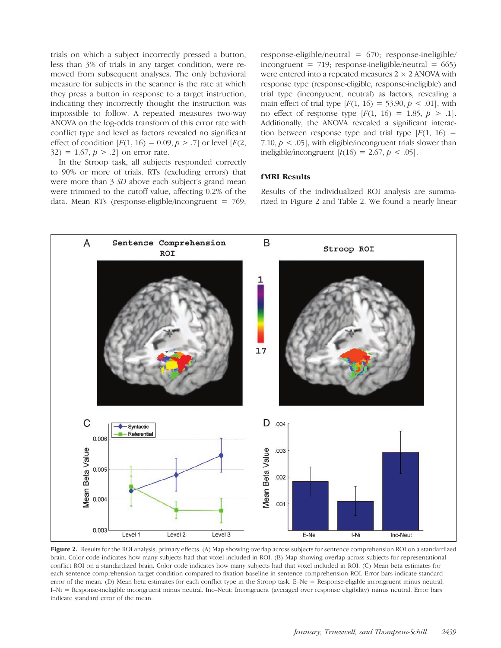trials on which a subject incorrectly pressed a button, less than 3% of trials in any target condition, were removed from subsequent analyses. The only behavioral measure for subjects in the scanner is the rate at which they press a button in response to a target instruction, indicating they incorrectly thought the instruction was impossible to follow. A repeated measures two-way ANOVA on the log-odds transform of this error rate with conflict type and level as factors revealed no significant effect of condition  $[F(1, 16) = 0.09, p > .7]$  or level  $[F(2, 16) = 0.09, p > .7]$  $32) = 1.67, p > .2$  on error rate.

In the Stroop task, all subjects responded correctly to 90% or more of trials. RTs (excluding errors) that were more than 3 SD above each subject's grand mean were trimmed to the cutoff value, affecting 0.2% of the data. Mean RTs (response-eligible/incongruent = 769; response-eligible/neutral = 670; response-ineligible/ incongruent = 719; response-ineligible/neutral =  $665$ ) were entered into a repeated measures  $2 \times 2$  ANOVA with response type (response-eligible, response-ineligible) and trial type (incongruent, neutral) as factors, revealing a main effect of trial type  $[F(1, 16) = 53.90, p < .01]$ , with no effect of response type  $[F(1, 16) = 1.85, p > .1]$ . Additionally, the ANOVA revealed a significant interaction between response type and trial type  $[F(1, 16) =$ 7.10,  $p < .05$ ], with eligible/incongruent trials slower than ineligible/incongruent  $[t(16) = 2.67, p < .05]$ .

#### fMRI Results

Results of the individualized ROI analysis are summarized in Figure 2 and Table 2. We found a nearly linear



Figure 2. Results for the ROI analysis, primary effects. (A) Map showing overlap across subjects for sentence comprehension ROI on a standardized brain. Color code indicates how many subjects had that voxel included in ROI. (B) Map showing overlap across subjects for representational conflict ROI on a standardized brain. Color code indicates how many subjects had that voxel included in ROI. (C) Mean beta estimates for each sentence comprehension target condition compared to fixation baseline in sentence comprehension ROI. Error bars indicate standard error of the mean. (D) Mean beta estimates for each conflict type in the Stroop task. E–Ne = Response-eligible incongruent minus neutral; I–Ni = Response-ineligible incongruent minus neutral. Inc–Neut: Incongruent (averaged over response eligibility) minus neutral. Error bars indicate standard error of the mean.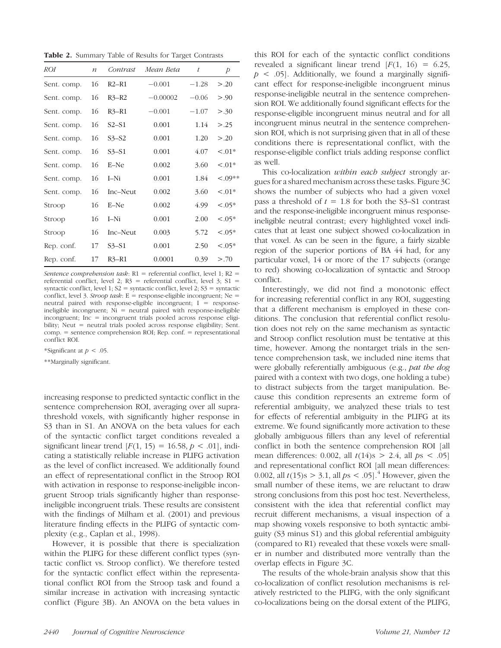**Table 2.** Summary Table of Results for Target Contrasts

| <i>ROI</i>  | $\boldsymbol{n}$ | Contrast | Mean Beta  | t       | $\overline{P}$ |
|-------------|------------------|----------|------------|---------|----------------|
| Sent. comp. | 16               | $R2-R1$  | $-0.001$   | $-1.28$ | > 0.20         |
| Sent. comp. | 16               | $R3-R2$  | $-0.00002$ | $-0.06$ | > .90          |
| Sent. comp. | 16               | $R3-R1$  | $-0.001$   | $-1.07$ | > .30          |
| Sent. comp. | 16               | S2–S1    | 0.001      | 1.14    | > 0.25         |
| Sent. comp. | 16               | $S3-S2$  | 0.001      | 1.20    | > 0.20         |
| Sent. comp. | 16               | $S3-S1$  | 0.001      | 4.07    | $< 0.01*$      |
| Sent. comp. | 16               | E-Ne     | 0.002      | 3.60    | $< 0.01*$      |
| Sent. comp. | 16               | $I-Ni$   | 0.001      | 1.84    | $< .09**$      |
| Sent. comp. | 16               | Inc-Neut | 0.002      | 3.60    | $< 0.01*$      |
| Stroop      | 16               | E-Ne     | 0.002      | 4.99    | $< 0.05*$      |
| Stroop      | 16               | I–Ni     | 0.001      | 2.00    | $0.05*$        |
| Stroop      | 16               | Inc–Neut | 0.003      | 5.72    | $< 0.05*$      |
| Rep. conf.  | 17               | S3–S1    | 0.001      | 2.50    | $0.05*$        |
| Rep. conf.  | 17               | $R3-R1$  | 0.0001     | 0.39    | > 0.70         |

Sentence comprehension task:  $R1$  = referential conflict, level 1;  $R2$  = referential conflict, level 2;  $R3$  = referential conflict, level 3;  $S1$  = syntactic conflict, level 1;  $S2 =$  syntactic conflict, level 2;  $S3 =$  syntactic conflict, level 3. Stroop task:  $E =$  response-eligible incongruent; Ne = neutral paired with response-eligible incongruent;  $I =$  responseineligible incongruent; Ni = neutral paired with response-ineligible incongruent; Inc = incongruent trials pooled across response eligibility; Neut = neutral trials pooled across response eligibility; Sent. comp. = sentence comprehension ROI; Rep. conf. = representational conflict ROI.

\*Significant at  $p < .05$ .

\*\*Marginally significant.

increasing response to predicted syntactic conflict in the sentence comprehension ROI, averaging over all suprathreshold voxels, with significantly higher response in S3 than in S1. An ANOVA on the beta values for each of the syntactic conflict target conditions revealed a significant linear trend  $[F(1, 15) = 16.58, p < .01]$ , indicating a statistically reliable increase in PLIFG activation as the level of conflict increased. We additionally found an effect of representational conflict in the Stroop ROI with activation in response to response-ineligible incongruent Stroop trials significantly higher than responseineligible incongruent trials. These results are consistent with the findings of Milham et al. (2001) and previous literature finding effects in the PLIFG of syntactic complexity (e.g., Caplan et al., 1998).

However, it is possible that there is specialization within the PLIFG for these different conflict types (syntactic conflict vs. Stroop conflict). We therefore tested for the syntactic conflict effect within the representational conflict ROI from the Stroop task and found a similar increase in activation with increasing syntactic conflict (Figure 3B). An ANOVA on the beta values in

this ROI for each of the syntactic conflict conditions revealed a significant linear trend  $[F(1, 16) = 6.25]$ ,  $p \leq 0.05$ . Additionally, we found a marginally significant effect for response-ineligible incongruent minus response-ineligible neutral in the sentence comprehension ROI. We additionally found significant effects for the response-eligible incongruent minus neutral and for all incongruent minus neutral in the sentence comprehension ROI, which is not surprising given that in all of these conditions there is representational conflict, with the response-eligible conflict trials adding response conflict as well.

This co-localization *within each subject* strongly argues for a shared mechanism across these tasks. Figure 3C shows the number of subjects who had a given voxel pass a threshold of  $t = 1.8$  for both the S3–S1 contrast and the response-ineligible incongruent minus responseineligible neutral contrast; every highlighted voxel indicates that at least one subject showed co-localization in that voxel. As can be seen in the figure, a fairly sizable region of the superior portions of BA 44 had, for any particular voxel, 14 or more of the 17 subjects (orange to red) showing co-localization of syntactic and Stroop conflict.

Interestingly, we did not find a monotonic effect for increasing referential conflict in any ROI, suggesting that a different mechanism is employed in these conditions. The conclusion that referential conflict resolution does not rely on the same mechanism as syntactic and Stroop conflict resolution must be tentative at this time, however. Among the nontarget trials in the sentence comprehension task, we included nine items that were globally referentially ambiguous (e.g., pat the dog paired with a context with two dogs, one holding a tube) to distract subjects from the target manipulation. Because this condition represents an extreme form of referential ambiguity, we analyzed these trials to test for effects of referential ambiguity in the PLIFG at its extreme. We found significantly more activation to these globally ambiguous fillers than any level of referential conflict in both the sentence comprehension ROI [all mean differences: 0.002, all  $t(14)$ s > 2.4, all  $ps < .05$ ] and representational conflict ROI [all mean differences: 0.002, all  $t(15)$ s > 3.1, all  $ps < .05$ ].<sup>4</sup> However, given the small number of these items, we are reluctant to draw strong conclusions from this post hoc test. Nevertheless, consistent with the idea that referential conflict may recruit different mechanisms, a visual inspection of a map showing voxels responsive to both syntactic ambiguity (S3 minus S1) and this global referential ambiguity (compared to R1) revealed that these voxels were smaller in number and distributed more ventrally than the overlap effects in Figure 3C.

The results of the whole-brain analysis show that this co-localization of conflict resolution mechanisms is relatively restricted to the PLIFG, with the only significant co-localizations being on the dorsal extent of the PLIFG,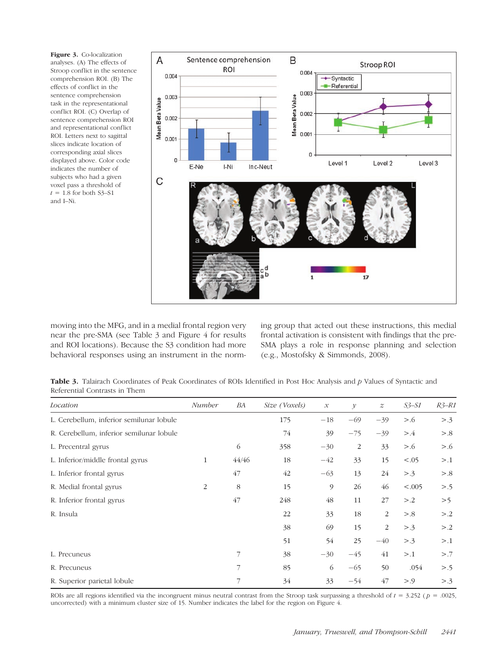Figure 3. Co-localization analyses. (A) The effects of Stroop conflict in the sentence comprehension ROI. (B) The effects of conflict in the sentence comprehension task in the representational conflict ROI. (C) Overlap of sentence comprehension ROI and representational conflict ROI. Letters next to sagittal slices indicate location of corresponding axial slices displayed above. Color code indicates the number of subjects who had a given voxel pass a threshold of  $t = 1.8$  for both S3-S1 and I–Ni.



moving into the MFG, and in a medial frontal region very near the pre-SMA (see Table 3 and Figure 4 for results and ROI locations). Because the S3 condition had more behavioral responses using an instrument in the norming group that acted out these instructions, this medial frontal activation is consistent with findings that the pre-SMA plays a role in response planning and selection (e.g., Mostofsky & Simmonds, 2008).

Table 3. Talairach Coordinates of Peak Coordinates of ROIs Identified in Post Hoc Analysis and  $p$  Values of Syntactic and Referential Contrasts in Them

| Location                                 | Number | BA    | Size (Voxels) | $\mathcal{X}% _{0}$ | $\mathcal V$ | $\boldsymbol{z}$ | $S3-S1$ | $R3-R1$ |
|------------------------------------------|--------|-------|---------------|---------------------|--------------|------------------|---------|---------|
| L. Cerebellum, inferior semilunar lobule |        |       | 175           | $-18$               | $-69$        | $-39$            | > 0.6   | > .3    |
| R. Cerebellum, inferior semilunar lobule |        |       | 74            | 39                  | $-75$        | $-39$            | > 4     | > 0.8   |
| L. Precentral gyrus                      |        | 6     | 358           | $-30$               | 2            | 33               | > 0.6   | > 0.6   |
| L. Inferior/middle frontal gyrus         | 1      | 44/46 | 18            | $-42$               | 33           | 15               | < .05   | > 0.1   |
| L. Inferior frontal gyrus                |        | 47    | 42            | $-63$               | 13           | 24               | > .3    | > 0.8   |
| R. Medial frontal gyrus                  | 2      | 8     | 15            | 9                   | 26           | 46               | < .005  | > .5    |
| R. Inferior frontal gyrus                |        | 47    | 248           | 48                  | 11           | 27               | > 0.2   | >5      |
| R. Insula                                |        |       | 22            | 33                  | 18           | 2                | > 8     | > 0.2   |
|                                          |        |       | 38            | 69                  | 15           | 2                | > .3    | > 0.2   |
|                                          |        |       | 51            | 54                  | 25           | $-40$            | > .3    | > 0.1   |
| L. Precuneus                             |        | 7     | 38            | $-30$               | $-45$        | 41               | > 1     | > .7    |
| R. Precuneus                             |        |       | 85            | 6                   | $-65$        | 50               | .054    | > .5    |
| R. Superior parietal lobule              |        | 7     | 34            | 33                  | $-54$        | 47               | > 0.9   | > .3    |

ROIs are all regions identified via the incongruent minus neutral contrast from the Stroop task surpassing a threshold of  $t = 3.252$  ( $p = .0025$ , uncorrected) with a minimum cluster size of 15. Number indicates the label for the region on Figure 4.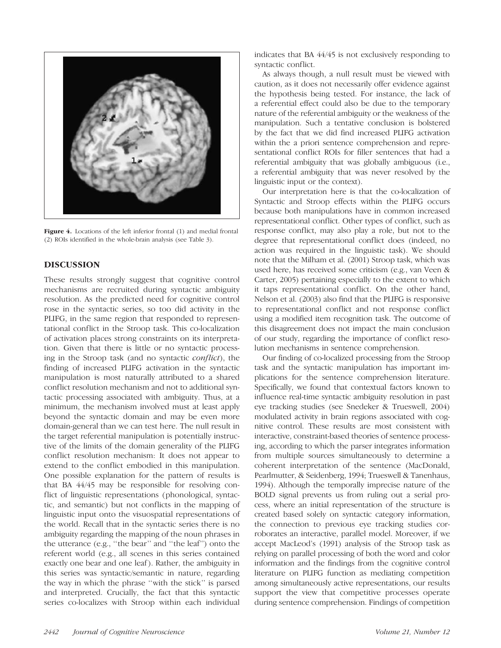

Figure 4. Locations of the left inferior frontal (1) and medial frontal (2) ROIs identified in the whole-brain analysis (see Table 3).

# DISCUSSION

These results strongly suggest that cognitive control mechanisms are recruited during syntactic ambiguity resolution. As the predicted need for cognitive control rose in the syntactic series, so too did activity in the PLIFG, in the same region that responded to representational conflict in the Stroop task. This co-localization of activation places strong constraints on its interpretation. Given that there is little or no syntactic processing in the Stroop task (and no syntactic conflict), the finding of increased PLIFG activation in the syntactic manipulation is most naturally attributed to a shared conflict resolution mechanism and not to additional syntactic processing associated with ambiguity. Thus, at a minimum, the mechanism involved must at least apply beyond the syntactic domain and may be even more domain-general than we can test here. The null result in the target referential manipulation is potentially instructive of the limits of the domain generality of the PLIFG conflict resolution mechanism: It does not appear to extend to the conflict embodied in this manipulation. One possible explanation for the pattern of results is that BA 44/45 may be responsible for resolving conflict of linguistic representations (phonological, syntactic, and semantic) but not conflicts in the mapping of linguistic input onto the visuospatial representations of the world. Recall that in the syntactic series there is no ambiguity regarding the mapping of the noun phrases in the utterance (e.g., ''the bear'' and ''the leaf'') onto the referent world (e.g., all scenes in this series contained exactly one bear and one leaf ). Rather, the ambiguity in this series was syntactic/semantic in nature, regarding the way in which the phrase ''with the stick'' is parsed and interpreted. Crucially, the fact that this syntactic series co-localizes with Stroop within each individual indicates that BA 44/45 is not exclusively responding to syntactic conflict.

As always though, a null result must be viewed with caution, as it does not necessarily offer evidence against the hypothesis being tested. For instance, the lack of a referential effect could also be due to the temporary nature of the referential ambiguity or the weakness of the manipulation. Such a tentative conclusion is bolstered by the fact that we did find increased PLIFG activation within the a priori sentence comprehension and representational conflict ROIs for filler sentences that had a referential ambiguity that was globally ambiguous (i.e., a referential ambiguity that was never resolved by the linguistic input or the context).

Our interpretation here is that the co-localization of Syntactic and Stroop effects within the PLIFG occurs because both manipulations have in common increased representational conflict. Other types of conflict, such as response conflict, may also play a role, but not to the degree that representational conflict does (indeed, no action was required in the linguistic task). We should note that the Milham et al. (2001) Stroop task, which was used here, has received some criticism (e.g., van Veen & Carter, 2005) pertaining especially to the extent to which it taps representational conflict. On the other hand, Nelson et al. (2003) also find that the PLIFG is responsive to representational conflict and not response conflict using a modified item recognition task. The outcome of this disagreement does not impact the main conclusion of our study, regarding the importance of conflict resolution mechanisms in sentence comprehension.

Our finding of co-localized processing from the Stroop task and the syntactic manipulation has important implications for the sentence comprehension literature. Specifically, we found that contextual factors known to influence real-time syntactic ambiguity resolution in past eye tracking studies (see Snedeker & Trueswell, 2004) modulated activity in brain regions associated with cognitive control. These results are most consistent with interactive, constraint-based theories of sentence processing, according to which the parser integrates information from multiple sources simultaneously to determine a coherent interpretation of the sentence (MacDonald, Pearlmutter, & Seidenberg, 1994; Trueswell & Tanenhaus, 1994). Although the temporally imprecise nature of the BOLD signal prevents us from ruling out a serial process, where an initial representation of the structure is created based solely on syntactic category information, the connection to previous eye tracking studies corroborates an interactive, parallel model. Moreover, if we accept MacLeod's (1991) analysis of the Stroop task as relying on parallel processing of both the word and color information and the findings from the cognitive control literature on PLIFG function as mediating competition among simultaneously active representations, our results support the view that competitive processes operate during sentence comprehension. Findings of competition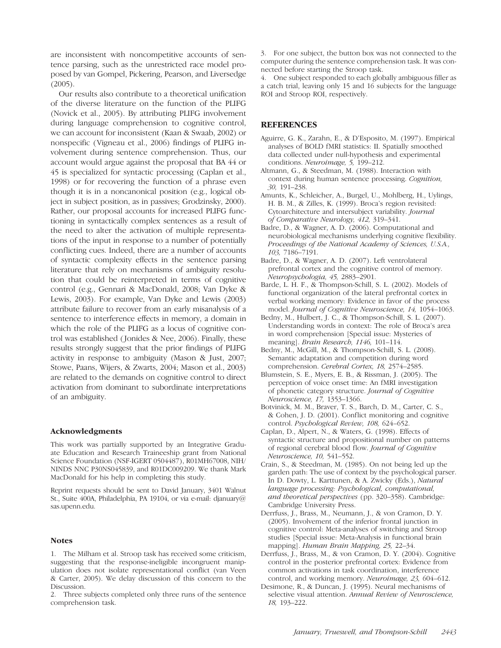are inconsistent with noncompetitive accounts of sentence parsing, such as the unrestricted race model proposed by van Gompel, Pickering, Pearson, and Liversedge (2005).

Our results also contribute to a theoretical unification of the diverse literature on the function of the PLIFG (Novick et al., 2005). By attributing PLIFG involvement during language comprehension to cognitive control, we can account for inconsistent (Kaan & Swaab, 2002) or nonspecific (Vigneau et al., 2006) findings of PLIFG involvement during sentence comprehension. Thus, our account would argue against the proposal that BA 44 or 45 is specialized for syntactic processing (Caplan et al., 1998) or for recovering the function of a phrase even though it is in a noncanonical position (e.g., logical object in subject position, as in passives; Grodzinsky, 2000). Rather, our proposal accounts for increased PLIFG functioning in syntactically complex sentences as a result of the need to alter the activation of multiple representations of the input in response to a number of potentially conflicting cues. Indeed, there are a number of accounts of syntactic complexity effects in the sentence parsing literature that rely on mechanisms of ambiguity resolution that could be reinterpreted in terms of cognitive control (e.g., Gennari & MacDonald, 2008; Van Dyke & Lewis, 2003). For example, Van Dyke and Lewis (2003) attribute failure to recover from an early misanalysis of a sentence to interference effects in memory, a domain in which the role of the PLIFG as a locus of cognitive control was established ( Jonides & Nee, 2006). Finally, these results strongly suggest that the prior findings of PLIFG activity in response to ambiguity (Mason & Just, 2007; Stowe, Paans, Wijers, & Zwarts, 2004; Mason et al., 2003) are related to the demands on cognitive control to direct activation from dominant to subordinate interpretations of an ambiguity.

#### Acknowledgments

This work was partially supported by an Integrative Graduate Education and Research Traineeship grant from National Science Foundation (NSF-IGERT 0504487), R01MH67008, NIH/ NINDS NNC P30NS045839, and R01DC009209. We thank Mark MacDonald for his help in completing this study.

Reprint requests should be sent to David January, 3401 Walnut St., Suite 400A, Philadelphia, PA 19104, or via e-mail: djanuary@ sas.upenn.edu.

#### **Notes**

1. The Milham et al. Stroop task has received some criticism, suggesting that the response-ineligible incongruent manipulation does not isolate representational conflict (van Veen & Carter, 2005). We delay discussion of this concern to the Discussion.

2. Three subjects completed only three runs of the sentence comprehension task.

3. For one subject, the button box was not connected to the computer during the sentence comprehension task. It was connected before starting the Stroop task.

4. One subject responded to each globally ambiguous filler as a catch trial, leaving only 15 and 16 subjects for the language ROI and Stroop ROI, respectively.

#### REFERENCES

- Aguirre, G. K., Zarahn, E., & D'Esposito, M. (1997). Empirical analyses of BOLD fMRI statistics: II. Spatially smoothed data collected under null-hypothesis and experimental conditions. Neuroimage, 5, 199–212.
- Altmann, G., & Steedman, M. (1988). Interaction with context during human sentence processing. Cognition, 30, 191–238.
- Amunts, K., Schleicher, A., Burgel, U., Mohlberg, H., Uylings, H. B. M., & Zilles, K. (1999). Broca's region revisited: Cytoarchitecture and intersubject variability. Journal of Comparative Neurology, 412, 319–341.
- Badre, D., & Wagner, A. D. (2006). Computational and neurobiological mechanisms underlying cognitive flexibility. Proceedings of the National Academy of Sciences, U.S.A., 103, 7186–7191.
- Badre, D., & Wagner, A. D. (2007). Left ventrolateral prefrontal cortex and the cognitive control of memory. Neuropsychologia, 45, 2883–2901.
- Barde, L. H. F., & Thompson-Schill, S. L. (2002). Models of functional organization of the lateral prefrontal cortex in verbal working memory: Evidence in favor of the process model. Journal of Cognitive Neuroscience, 14, 1054–1063.
- Bedny, M., Hulbert, J. C., & Thompson-Schill, S. L. (2007). Understanding words in context: The role of Broca's area in word comprehension [Special issue: Mysteries of meaning]. Brain Research, 1146, 101-114.
- Bedny, M., McGill, M., & Thompson-Schill, S. L. (2008). Semantic adaptation and competition during word comprehension. Cerebral Cortex, 18, 2574–2585.
- Blumstein, S. E., Myers, E. B., & Rissman, J. (2005). The perception of voice onset time: An fMRI investigation of phonetic category structure. Journal of Cognitive Neuroscience, 17, 1353–1366.
- Botvinick, M. M., Braver, T. S., Barch, D. M., Carter, C. S., & Cohen, J. D. (2001). Conflict monitoring and cognitive control. Psychological Review, 108, 624–652.
- Caplan, D., Alpert, N., & Waters, G. (1998). Effects of syntactic structure and propositional number on patterns of regional cerebral blood flow. Journal of Cognitive Neuroscience, 10, 541–552.
- Crain, S., & Steedman, M. (1985). On not being led up the garden path: The use of context by the psychological parser. In D. Dowty, L. Karttunen, & A. Zwicky (Eds.), Natural language processing: Psychological, computational, and theoretical perspectives (pp. 320–358). Cambridge: Cambridge University Press.
- Derrfuss, J., Brass, M., Neumann, J., & von Cramon, D. Y. (2005). Involvement of the inferior frontal junction in cognitive control: Meta-analyses of switching and Stroop studies [Special issue: Meta-Analysis in functional brain mapping]. Human Brain Mapping, 25, 22–34.
- Derrfuss, J., Brass, M., & von Cramon, D. Y. (2004). Cognitive control in the posterior prefrontal cortex: Evidence from common activations in task coordination, interference control, and working memory. Neuroimage, 23, 604–612.
- Desimone, R., & Duncan, J. (1995). Neural mechanisms of selective visual attention. Annual Review of Neuroscience, 18, 193–222.